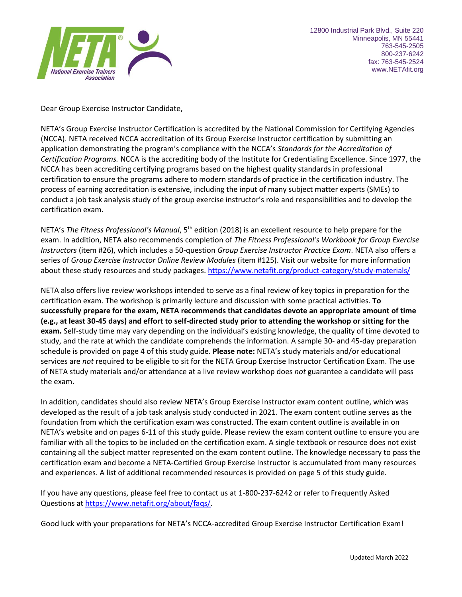

Dear Group Exercise Instructor Candidate,

NETA's Group Exercise Instructor Certification is accredited by the National Commission for Certifying Agencies (NCCA). NETA received NCCA accreditation of its Group Exercise Instructor certification by submitting an application demonstrating the program's compliance with the NCCA's *Standards for the Accreditation of Certification Programs.* NCCA is the accrediting body of the Institute for Credentialing Excellence. Since 1977, the NCCA has been accrediting certifying programs based on the highest quality standards in professional certification to ensure the programs adhere to modern standards of practice in the certification industry. The process of earning accreditation is extensive, including the input of many subject matter experts (SMEs) to conduct a job task analysis study of the group exercise instructor's role and responsibilities and to develop the certification exam.

NETA's *The Fitness Professional's Manual*, 5th edition (2018) is an excellent resource to help prepare for the exam. In addition, NETA also recommends completion of *The Fitness Professional's Workbook for Group Exercise Instructors* (item #26), which includes a 50-question *Group Exercise Instructor Practice Exam*. NETA also offers a series of *Group Exercise Instructor Online Review Modules* (item #125). Visit our website for more information about these study resources and study packages. <https://www.netafit.org/product-category/study-materials/>

NETA also offers live review workshops intended to serve as a final review of key topics in preparation for the certification exam. The workshop is primarily lecture and discussion with some practical activities. **To successfully prepare for the exam, NETA recommends that candidates devote an appropriate amount of time (e.g., at least 30-45 days) and effort to self-directed study prior to attending the workshop or sitting for the exam.** Self-study time may vary depending on the individual's existing knowledge, the quality of time devoted to study, and the rate at which the candidate comprehends the information. A sample 30- and 45-day preparation schedule is provided on page 4 of this study guide. **Please note:** NETA's study materials and/or educational services are *not* required to be eligible to sit for the NETA Group Exercise Instructor Certification Exam. The use of NETA study materials and/or attendance at a live review workshop does *not* guarantee a candidate will pass the exam.

In addition, candidates should also review NETA's Group Exercise Instructor exam content outline, which was developed as the result of a job task analysis study conducted in 2021. The exam content outline serves as the foundation from which the certification exam was constructed. The exam content outline is available in on NETA's website and on pages 6-11 of this study guide. Please review the exam content outline to ensure you are familiar with all the topics to be included on the certification exam. A single textbook or resource does not exist containing all the subject matter represented on the exam content outline. The knowledge necessary to pass the certification exam and become a NETA-Certified Group Exercise Instructor is accumulated from many resources and experiences. A list of additional recommended resources is provided on page 5 of this study guide.

If you have any questions, please feel free to contact us at 1-800-237-6242 or refer to Frequently Asked Questions at [https://www.netafit.org/about/faqs/.](https://www.netafit.org/about/faqs/)

Good luck with your preparations for NETA's NCCA-accredited Group Exercise Instructor Certification Exam!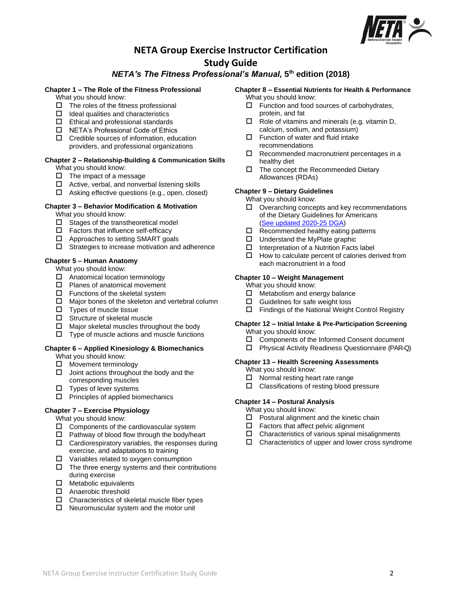

# **NETA Group Exercise Instructor Certification Study Guide**

## *NETA's The Fitness Professional's Manual,* **5 th edition (2018)**

### **Chapter 1 – The Role of the Fitness Professional**

What you should know:

- $\square$  The roles of the fitness professional
- $\Box$  Ideal qualities and characteristics
- $\Box$  Ethical and professional standards
- □ NETA's Professional Code of Ethics
- $\Box$  Credible sources of information, education providers, and professional organizations

#### **Chapter 2 – Relationship-Building & Communication Skills** What you should know:

- $\Box$  The impact of a message
- $\Box$  Active, verbal, and nonverbal listening skills
- $\Box$  Asking effective questions (e.g., open, closed)

### **Chapter 3 – Behavior Modification & Motivation**

What you should know:

- $\square$  Stages of the transtheoretical model
- $\square$  Factors that influence self-efficacy
- $\Box$  Approaches to setting SMART goals
- $\square$  Strategies to increase motivation and adherence

### **Chapter 5 – Human Anatomy**

- What you should know:
- □ Anatomical location terminology
- $\square$  Planes of anatomical movement
- $\square$  Functions of the skeletal system
- $\Box$  Major bones of the skeleton and vertebral column
- $\square$  Types of muscle tissue
- □ Structure of skeletal muscle
- $\Box$  Major skeletal muscles throughout the body
- $\Box$  Type of muscle actions and muscle functions

### **Chapter 6 – Applied Kinesiology & Biomechanics**

- What you should know:
- $\Box$  Movement terminology
- $\Box$  Joint actions throughout the body and the corresponding muscles
- $\Box$  Types of lever systems
- $\Box$  Principles of applied biomechanics

### **Chapter 7 – Exercise Physiology**

- What you should know:
- $\Box$  Components of the cardiovascular system
- $\square$  Pathway of blood flow through the body/heart
- $\square$  Cardiorespiratory variables, the responses during exercise, and adaptations to training
- Variables related to oxygen consumption
- $\Box$  The three energy systems and their contributions during exercise
- $\Box$  Metabolic equivalents
- □ Anaerobic threshold
- $\square$  Characteristics of skeletal muscle fiber types
- $\Box$  Neuromuscular system and the motor unit

### **Chapter 8 – Essential Nutrients for Health & Performance**

- What you should know:
- $\Box$  Function and food sources of carbohydrates, protein, and fat
- $\Box$  Role of vitamins and minerals (e.g. vitamin D, calcium, sodium, and potassium)
- $\Box$  Function of water and fluid intake recommendations
- $\Box$  Recommended macronutrient percentages in a healthy diet
- $\Box$  The concept the Recommended Dietary Allowances (RDAs)

### **Chapter 9 – Dietary Guidelines**

What you should know:

- $\Box$  Overarching concepts and key recommendations of the Dietary Guidelines for Americans [\(See updated 2020-25 DGA\)](https://www.dietaryguidelines.gov/)
- $\Box$  Recommended healthy eating patterns
- $\Box$  Understand the MyPlate graphic
- $\Box$  Interpretation of a Nutrition Facts label
- $\Box$  How to calculate percent of calories derived from each macronutrient in a food

### **Chapter 10 – Weight Management**

What you should know:

- $\Box$  Metabolism and energy balance
- $\Box$  Guidelines for safe weight loss
- $\Box$  Findings of the National Weight Control Registry

### **Chapter 12 – Initial Intake & Pre-Participation Screening**

- What you should know:
- □ Components of the Informed Consent document
- Physical Activity Readiness Questionnaire (PAR-Q)

### **Chapter 13 – Health Screening Assessments**

- What you should know:
- $\square$  Normal resting heart rate range<br> $\square$  Classifications of resting blood r
- Classifications of resting blood pressure

### **Chapter 14 – Postural Analysis**

What you should know:

- $\square$  Postural alignment and the kinetic chain
- $\Box$  Factors that affect pelvic alignment
- $\Box$  Characteristics of various spinal misalignments
- $\Box$  Characteristics of upper and lower cross syndrome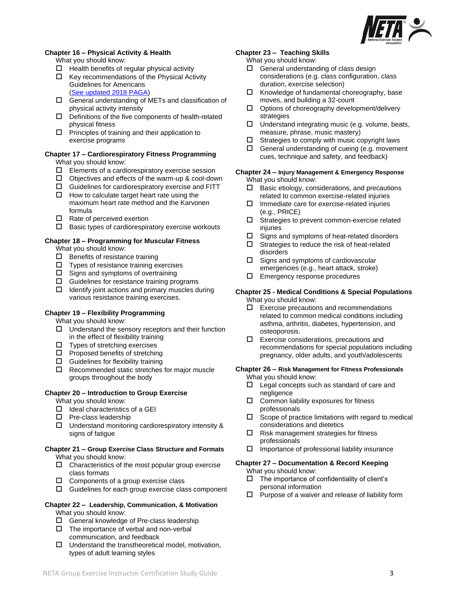

### **Chapter 16 – Physical Activity & Health**

What you should know:

- $\Box$  Health benefits of regular physical activity
- $\Box$  Key recommendations of the Physical Activity Guidelines for Americans [\(See updated 2018 PAGA\)](https://health.gov/sites/default/files/2019-09/Physical_Activity_Guidelines_2nd_edition.pdf)
- General understanding of METs and classification of physical activity intensity
- $\square$  Definitions of the five components of health-related physical fitness
- $\Box$  Principles of training and their application to exercise programs

#### **Chapter 17 – Cardiorespiratory Fitness Programming** What you should know:

- $\square$  Elements of a cardiorespiratory exercise session
- Objectives and effects of the warm-up & cool-down
- Guidelines for cardiorespiratory exercise and FITT
- $\Box$  How to calculate target heart rate using the maximum heart rate method and the Karvonen formula
- $\square$  Rate of perceived exertion
- $\square$  Basic types of cardiorespiratory exercise workouts

## **Chapter 18 – Programming for Muscular Fitness**

What you should know:

- $\square$  Benefits of resistance training
- $\square$  Types of resistance training exercises
- $\square$  Signs and symptoms of overtraining
- $\square$  Guidelines for resistance training programs
- $\Box$  Identify joint actions and primary muscles during various resistance training exercises.

### **Chapter 19 – Flexibility Programming**

What you should know:

- $\Box$  Understand the sensory receptors and their function in the effect of flexibility training
- $\Box$  Types of stretching exercises
- $\square$  Proposed benefits of stretching
- $\square$  Guidelines for flexibility training
- $\square$  Recommended static stretches for major muscle groups throughout the body

### **Chapter 20 – Introduction to Group Exercise**

- What you should know:
- $\Box$  Ideal characteristics of a GEI
- $\square$  Pre-class leadership
- $\Box$  Understand monitoring cardiorespiratory intensity & signs of fatigue

#### **Chapter 21 – Group Exercise Class Structure and Formats** What you should know:

- $\Box$  Characteristics of the most popular group exercise class formats
- $\Box$  Components of a group exercise class
- Guidelines for each group exercise class component

## **Chapter 22 – Leadership, Communication, & Motivation**

What you should know:

- $\Box$  General knowledge of Pre-class leadership
- $\square$  The importance of verbal and non-verbal communication, and feedback
- $\Box$  Understand the transtheoretical model, motivation, types of adult learning styles

#### **Chapter 23 – Teaching Skills**

What you should know:

- General understanding of class design considerations (e.g. class configuration, class duration, exercise selection)
- $\Box$  Knowledge of fundamental choreography, base moves, and building a 32-count
- $\Box$  Options of choreography development/delivery strategies
- $\Box$  Understand integrating music (e.g. volume, beats, measure, phrase, music mastery)
- $\square$  Strategies to comply with music copyright laws
- $\Box$  General understanding of cueing (e.g. movement cues, technique and safety, and feedback)
- **Chapter 24 – Injury Management & Emergency Response** What you should know:
	- $\Box$  Basic etiology, considerations, and precautions related to common exercise-related injuries
	- $\square$  Immediate care for exercise-related injuries (e.g., PRICE)
	- $\square$  Strategies to prevent common-exercise related injuries
	- $\square$  Signs and symptoms of heat-related disorders
	- $\square$  Strategies to reduce the risk of heat-related disorders
	- $\Box$  Signs and symptoms of cardiovascular emergencies (e.g., heart attack, stroke)
	- $\Box$  Emergency response procedures

### **Chapter 25 - Medical Conditions & Special Populations** What you should know:

- $\Box$  Exercise precautions and recommendations related to common medical conditions including asthma, arthritis, diabetes, hypertension, and osteoporosis.
- Exercise considerations, precautions and recommendations for special populations including pregnancy, older adults, and youth/adolescents

#### **Chapter 26 – Risk Management for Fitness Professionals** What you should know:

- $\Box$  Legal concepts such as standard of care and negligence
- $\square$  Common liability exposures for fitness professionals
- $\square$  Scope of practice limitations with regard to medical considerations and dietetics
- $\Box$  Risk management strategies for fitness professionals
- $\Box$  Importance of professional liability insurance

#### **Chapter 27 – Documentation & Record Keeping** What you should know:

- $\Box$  The importance of confidentiality of client's personal information
- $\Box$  Purpose of a waiver and release of liability form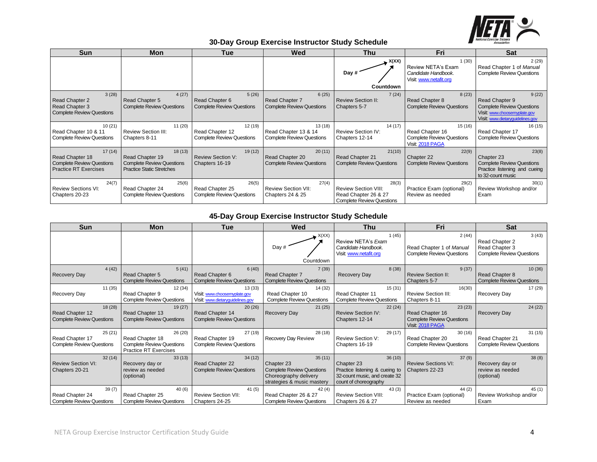

## **30-Day Group Exercise Instructor Study Schedule**

| Sun                                                                                    | Mon                                                                                               | <b>Tue</b>                                                     | Wed                                                                | Thu                                                                                              | Fri                                                                               | <b>Sat</b>                                                                                                                      |
|----------------------------------------------------------------------------------------|---------------------------------------------------------------------------------------------------|----------------------------------------------------------------|--------------------------------------------------------------------|--------------------------------------------------------------------------------------------------|-----------------------------------------------------------------------------------|---------------------------------------------------------------------------------------------------------------------------------|
|                                                                                        |                                                                                                   |                                                                |                                                                    | X(XX)<br>Day #<br>Countdown                                                                      | 1(30)<br>Review NETA's Exam<br>Candidate Handbook.<br>Visit: www.netafit.org      | 2(29)<br>Read Chapter 1 of Manual<br><b>Complete Review Questions</b>                                                           |
| 3(28)<br>Read Chapter 2<br>Read Chapter 3<br><b>Complete Review Questions</b>          | 4(27)<br>Read Chapter 5<br><b>Complete Review Questions</b>                                       | 5(26)<br>Read Chapter 6<br><b>Complete Review Questions</b>    | 6(25)<br>Read Chapter 7<br><b>Complete Review Questions</b>        | 7(24)<br><b>Review Section II:</b><br>Chapters 5-7                                               | 8(23)<br>Read Chapter 8<br><b>Complete Review Questions</b>                       | 9(22)<br>Read Chapter 9<br><b>Complete Review Questions</b><br>Visit: www.choosemyplate.gov<br>Visit: www.dietaryguidelines.gov |
| 10(21)<br>Read Chapter 10 & 11<br><b>Complete Review Questions</b>                     | 11(20)<br><b>Review Section III:</b><br>Chapters 8-11                                             | 12 (19)<br>Read Chapter 12<br><b>Complete Review Questions</b> | 13(18)<br>Read Chapter 13 & 14<br><b>Complete Review Questions</b> | 14(17)<br><b>Review Section IV:</b><br>Chapters 12-14                                            | 15(16)<br>Read Chapter 16<br><b>Complete Review Questions</b><br>Visit: 2018 PAGA | 16 (15)<br>Read Chapter 17<br><b>Complete Review Questions</b>                                                                  |
| 17(14)<br>Read Chapter 18<br>Complete Review Questions<br><b>Practice RT Exercises</b> | 18(13)<br>Read Chapter 19<br><b>Complete Review Questions</b><br><b>Practice Static Stretches</b> | 19(12)<br><b>Review Section V:</b><br>Chapters 16-19           | 20(11)<br>Read Chapter 20<br><b>Complete Review Questions</b>      | 21(10)<br>Read Chapter 21<br><b>Complete Review Questions</b>                                    | 22(9)<br>Chapter 22<br><b>Complete Review Questions</b>                           | 23(8)<br>Chapter 23<br><b>Complete Review Questions</b><br>Practice listening and cueing<br>to 32-count music                   |
| 24(7)<br><b>Review Sections VI:</b><br>Chapters 20-23                                  | 25(6)<br>Read Chapter 24<br><b>Complete Review Questions</b>                                      | 26(5)<br>Read Chapter 25<br><b>Complete Review Questions</b>   | 27(4)<br><b>Review Section VII:</b><br>Chapters 24 & 25            | 28(3)<br><b>Review Section VIII:</b><br>Read Chapter 26 & 27<br><b>Complete Review Questions</b> | 29(2)<br>Practice Exam (optional)<br>Review as needed                             | 30(1)<br>Review Workshop and/or<br>Exam                                                                                         |

# **45-Day Group Exercise Instructor Study Schedule**

| <b>Sun</b>                                                     | <b>Mon</b>                                                                                    | <b>Tue</b>                                                                 | Wed                                                                                                             | Thu                                                                                                              | Fri                                                                               | <b>Sat</b>                                                                    |
|----------------------------------------------------------------|-----------------------------------------------------------------------------------------------|----------------------------------------------------------------------------|-----------------------------------------------------------------------------------------------------------------|------------------------------------------------------------------------------------------------------------------|-----------------------------------------------------------------------------------|-------------------------------------------------------------------------------|
|                                                                |                                                                                               |                                                                            | X(XX)<br>Day #<br>Countdown                                                                                     | 1(45)<br>Review NETA's Exam<br>Candidate Handbook.<br>Visit: www.netafit.org                                     | 2(44)<br>Read Chapter 1 of Manual<br><b>Complete Review Questions</b>             | 3(43)<br>Read Chapter 2<br>Read Chapter 3<br><b>Complete Review Questions</b> |
| 4(42)<br><b>Recovery Day</b>                                   | 5(41)<br>Read Chapter 5<br><b>Complete Review Questions</b>                                   | 6(40)<br>Read Chapter 6<br><b>Complete Review Questions</b>                | 7(39)<br>Read Chapter 7<br><b>Complete Review Questions</b>                                                     | 8(38)<br><b>Recovery Day</b>                                                                                     | 9(37)<br><b>Review Section II:</b><br>Chapters 5-7                                | 10(36)<br>Read Chapter 8<br><b>Complete Review Questions</b>                  |
| 11 (35)<br><b>Recovery Day</b>                                 | 12(34)<br>Read Chapter 9<br><b>Complete Review Questions</b>                                  | 13(33)<br>Visit: www.choosemyplate.gov<br>Visit: www.dietaryquidelines.gov | 14 (32)<br>Read Chapter 10<br><b>Complete Review Questions</b>                                                  | 15(31)<br>Read Chapter 11<br><b>Complete Review Questions</b>                                                    | 16(30)<br><b>Review Section III:</b><br>Chapters 8-11                             | 17 (29)<br><b>Recovery Day</b>                                                |
| 18 (28)<br>Read Chapter 12<br><b>Complete Review Questions</b> | 19(27)<br>Read Chapter 13<br><b>Complete Review Questions</b>                                 | 20(26)<br>Read Chapter 14<br><b>Complete Review Questions</b>              | 21(25)<br><b>Recovery Day</b>                                                                                   | 22(24)<br><b>Review Section IV:</b><br>Chapters 12-14                                                            | 23(23)<br>Read Chapter 16<br><b>Complete Review Questions</b><br>Visit: 2018 PAGA | 24(22)<br><b>Recovery Day</b>                                                 |
| 25(21)<br>Read Chapter 17<br><b>Complete Review Questions</b>  | 26(20)<br>Read Chapter 18<br><b>Complete Review Questions</b><br><b>Practice RT Exercises</b> | 27(19)<br>Read Chapter 19<br><b>Complete Review Questions</b>              | 28 (18)<br>Recovery Day Review                                                                                  | 29 (17)<br><b>Review Section V:</b><br>Chapters 16-19                                                            | 30(16)<br>Read Chapter 20<br><b>Complete Review Questions</b>                     | 31(15)<br>Read Chapter 21<br><b>Complete Review Questions</b>                 |
| 32(14)<br><b>Review Section VI:</b><br>Chapters 20-21          | 33(13)<br>Recovery day or<br>review as needed<br>(optional)                                   | 34(12)<br>Read Chapter 22<br><b>Complete Review Questions</b>              | 35(11)<br>Chapter 23<br><b>Complete Review Questions</b><br>Choreography delivery<br>strategies & music mastery | 36(10)<br>Chapter 23<br>Practice listening & cueing to<br>32-count music, and create 32<br>count of choreography | 37(9)<br><b>Review Sections VI:</b><br>Chapters 22-23                             | 38(8)<br>Recovery day or<br>review as needed<br>(optional)                    |
| 39(7)<br>Read Chapter 24<br><b>Complete Review Questions</b>   | 40(6)<br>Read Chapter 25<br><b>Complete Review Questions</b>                                  | 41(5)<br><b>Review Section VII:</b><br>Chapters 24-25                      | 42(4)<br>Read Chapter 26 & 27<br><b>Complete Review Questions</b>                                               | 43(3)<br><b>Review Section VIII:</b><br>Chapters 26 & 27                                                         | 44(2)<br>Practice Exam (optional)<br>Review as needed                             | 45(1)<br>Review Workshop and/or<br>Exam                                       |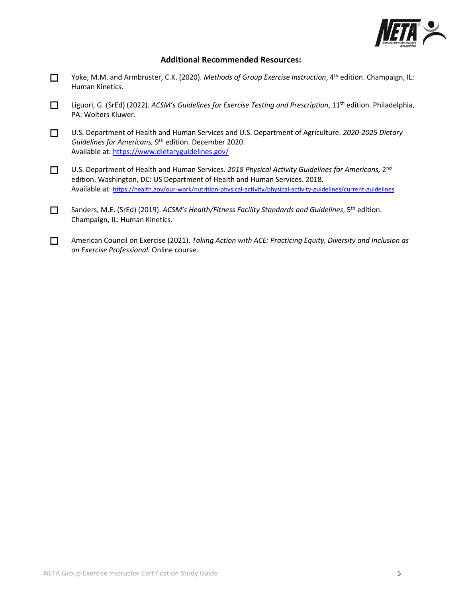

## **Additional Recommended Resources:**

- Yoke, M.M. and Armbruster, C.K. (2020). *Methods of Group Exercise Instruction*, 4th edition. Champaign, IL: Human Kinetics.
- Liguori, G. (SrEd) (2022). *ACSM's Guidelines for Exercise Testing and Prescription*, 11th edition. Philadelphia, PA: Wolters Kluwer.
- U.S. Department of Health and Human Services and U.S. Department of Agriculture. *2020-2025 Dietary*  Guidelines for Americans, 9<sup>th</sup> edition. December 2020. Available at[: https://www.dietaryguidelines.gov/](https://www.dietaryguidelines.gov/)
- □ U.S. Department of Health and Human Services. 2018 Physical Activity Guidelines for Americans, 2<sup>nd</sup> edition. Washington, DC: US Department of Health and Human Services. 2018. Available at: <https://health.gov/our-work/nutrition-physical-activity/physical-activity-guidelines/current-guidelines>
- Sanders, M.E. (SrEd) (2019). *ACSM's Health/Fitness Facility Standards and Guidelines*, 5th edition. Champaign, IL: Human Kinetics.
- American Council on Exercise (2021). *Taking Action with ACE: Practicing Equity, Diversity and Inclusion as an Exercise Professional.* Online course.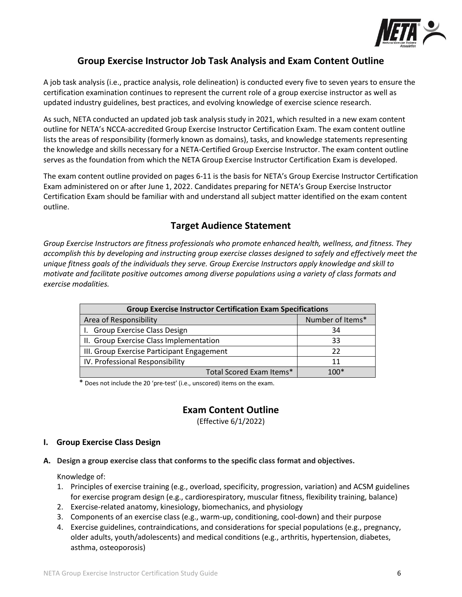

# **Group Exercise Instructor Job Task Analysis and Exam Content Outline**

A job task analysis (i.e., practice analysis, role delineation) is conducted every five to seven years to ensure the certification examination continues to represent the current role of a group exercise instructor as well as updated industry guidelines, best practices, and evolving knowledge of exercise science research.

As such, NETA conducted an updated job task analysis study in 2021, which resulted in a new exam content outline for NETA's NCCA-accredited Group Exercise Instructor Certification Exam. The exam content outline lists the areas of responsibility (formerly known as domains), tasks, and knowledge statements representing the knowledge and skills necessary for a NETA-Certified Group Exercise Instructor. The exam content outline serves as the foundation from which the NETA Group Exercise Instructor Certification Exam is developed.

The exam content outline provided on pages 6-11 is the basis for NETA's Group Exercise Instructor Certification Exam administered on or after June 1, 2022. Candidates preparing for NETA's Group Exercise Instructor Certification Exam should be familiar with and understand all subject matter identified on the exam content outline.

# **Target Audience Statement**

*Group Exercise Instructors are fitness professionals who promote enhanced health, wellness, and fitness. They accomplish this by developing and instructing group exercise classes designed to safely and effectively meet the unique fitness goals of the individuals they serve. Group Exercise Instructors apply knowledge and skill to motivate and facilitate positive outcomes among diverse populations using a variety of class formats and exercise modalities.*

| <b>Group Exercise Instructor Certification Exam Specifications</b> |                  |  |  |  |  |
|--------------------------------------------------------------------|------------------|--|--|--|--|
| Area of Responsibility                                             | Number of Items* |  |  |  |  |
| Group Exercise Class Design                                        | 34               |  |  |  |  |
| II. Group Exercise Class Implementation                            | 33               |  |  |  |  |
| III. Group Exercise Participant Engagement                         | 22               |  |  |  |  |
| IV. Professional Responsibility                                    | 11               |  |  |  |  |
| Total Scored Exam Items*                                           | 1በበ*             |  |  |  |  |

\* Does not include the 20 'pre-test' (i.e., unscored) items on the exam.

# **Exam Content Outline**

(Effective 6/1/2022)

## **I. Group Exercise Class Design**

**A. Design a group exercise class that conforms to the specific class format and objectives.**

- 1. Principles of exercise training (e.g., overload, specificity, progression, variation) and ACSM guidelines for exercise program design (e.g., cardiorespiratory, muscular fitness, flexibility training, balance)
- 2. Exercise-related anatomy, kinesiology, biomechanics, and physiology
- 3. Components of an exercise class (e.g., warm-up, conditioning, cool-down) and their purpose
- 4. Exercise guidelines, contraindications, and considerations for special populations (e.g., pregnancy, older adults, youth/adolescents) and medical conditions (e.g., arthritis, hypertension, diabetes, asthma, osteoporosis)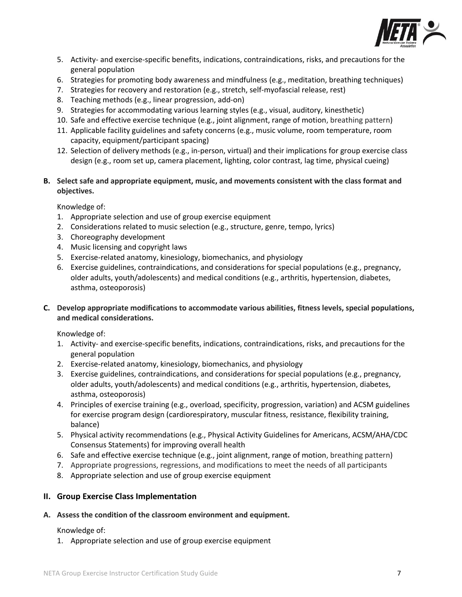

- 5. Activity- and exercise-specific benefits, indications, contraindications, risks, and precautions for the general population
- 6. Strategies for promoting body awareness and mindfulness (e.g., meditation, breathing techniques)
- 7. Strategies for recovery and restoration (e.g., stretch, self-myofascial release, rest)
- 8. Teaching methods (e.g., linear progression, add-on)
- 9. Strategies for accommodating various learning styles (e.g., visual, auditory, kinesthetic)
- 10. Safe and effective exercise technique (e.g., joint alignment, range of motion, breathing pattern)
- 11. Applicable facility guidelines and safety concerns (e.g., music volume, room temperature, room capacity, equipment/participant spacing)
- 12. Selection of delivery methods (e.g., in-person, virtual) and their implications for group exercise class design (e.g., room set up, camera placement, lighting, color contrast, lag time, physical cueing)
- **B. Select safe and appropriate equipment, music, and movements consistent with the class format and objectives.**

Knowledge of:

- 1. Appropriate selection and use of group exercise equipment
- 2. Considerations related to music selection (e.g., structure, genre, tempo, lyrics)
- 3. Choreography development
- 4. Music licensing and copyright laws
- 5. Exercise-related anatomy, kinesiology, biomechanics, and physiology
- 6. Exercise guidelines, contraindications, and considerations for special populations (e.g., pregnancy, older adults, youth/adolescents) and medical conditions (e.g., arthritis, hypertension, diabetes, asthma, osteoporosis)
- **C. Develop appropriate modifications to accommodate various abilities, fitness levels, special populations, and medical considerations.**

Knowledge of:

- 1. Activity- and exercise-specific benefits, indications, contraindications, risks, and precautions for the general population
- 2. Exercise-related anatomy, kinesiology, biomechanics, and physiology
- 3. Exercise guidelines, contraindications, and considerations for special populations (e.g., pregnancy, older adults, youth/adolescents) and medical conditions (e.g., arthritis, hypertension, diabetes, asthma, osteoporosis)
- 4. Principles of exercise training (e.g., overload, specificity, progression, variation) and ACSM guidelines for exercise program design (cardiorespiratory, muscular fitness, resistance, flexibility training, balance)
- 5. Physical activity recommendations (e.g., Physical Activity Guidelines for Americans, ACSM/AHA/CDC Consensus Statements) for improving overall health
- 6. Safe and effective exercise technique (e.g., joint alignment, range of motion, breathing pattern)
- 7. Appropriate progressions, regressions, and modifications to meet the needs of all participants
- 8. Appropriate selection and use of group exercise equipment

## **II. Group Exercise Class Implementation**

**A. Assess the condition of the classroom environment and equipment.**

## Knowledge of:

1. Appropriate selection and use of group exercise equipment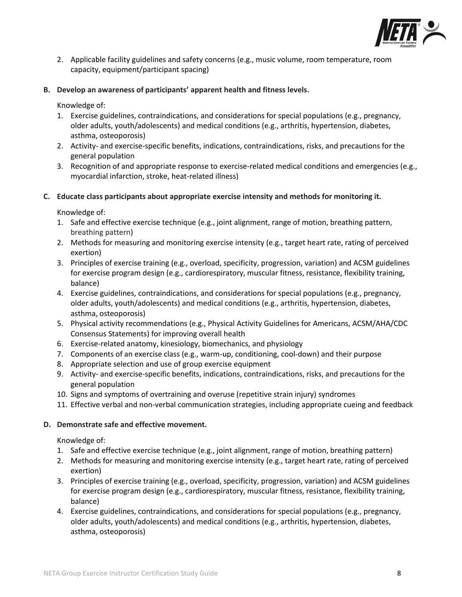

- 2. Applicable facility guidelines and safety concerns (e.g., music volume, room temperature, room capacity, equipment/participant spacing)
- **B. Develop an awareness of participants' apparent health and fitness levels.**

Knowledge of:

- 1. Exercise guidelines, contraindications, and considerations for special populations (e.g., pregnancy, older adults, youth/adolescents) and medical conditions (e.g., arthritis, hypertension, diabetes, asthma, osteoporosis)
- 2. Activity- and exercise-specific benefits, indications, contraindications, risks, and precautions for the general population
- 3. Recognition of and appropriate response to exercise-related medical conditions and emergencies (e.g., myocardial infarction, stroke, heat-related illness)

## **C. Educate class participants about appropriate exercise intensity and methods for monitoring it.**

Knowledge of:

- 1. Safe and effective exercise technique (e.g., joint alignment, range of motion, breathing pattern, breathing pattern)
- 2. Methods for measuring and monitoring exercise intensity (e.g., target heart rate, rating of perceived exertion)
- 3. Principles of exercise training (e.g., overload, specificity, progression, variation) and ACSM guidelines for exercise program design (e.g., cardiorespiratory, muscular fitness, resistance, flexibility training, balance)
- 4. Exercise guidelines, contraindications, and considerations for special populations (e.g., pregnancy, older adults, youth/adolescents) and medical conditions (e.g., arthritis, hypertension, diabetes, asthma, osteoporosis)
- 5. Physical activity recommendations (e.g., Physical Activity Guidelines for Americans, ACSM/AHA/CDC Consensus Statements) for improving overall health
- 6. Exercise-related anatomy, kinesiology, biomechanics, and physiology
- 7. Components of an exercise class (e.g., warm-up, conditioning, cool-down) and their purpose
- 8. Appropriate selection and use of group exercise equipment
- 9. Activity- and exercise-specific benefits, indications, contraindications, risks, and precautions for the general population
- 10. Signs and symptoms of overtraining and overuse (repetitive strain injury) syndromes
- 11. Effective verbal and non-verbal communication strategies, including appropriate cueing and feedback

## **D. Demonstrate safe and effective movement.**

- 1. Safe and effective exercise technique (e.g., joint alignment, range of motion, breathing pattern)
- 2. Methods for measuring and monitoring exercise intensity (e.g., target heart rate, rating of perceived exertion)
- 3. Principles of exercise training (e.g., overload, specificity, progression, variation) and ACSM guidelines for exercise program design (e.g., cardiorespiratory, muscular fitness, resistance, flexibility training, balance)
- 4. Exercise guidelines, contraindications, and considerations for special populations (e.g., pregnancy, older adults, youth/adolescents) and medical conditions (e.g., arthritis, hypertension, diabetes, asthma, osteoporosis)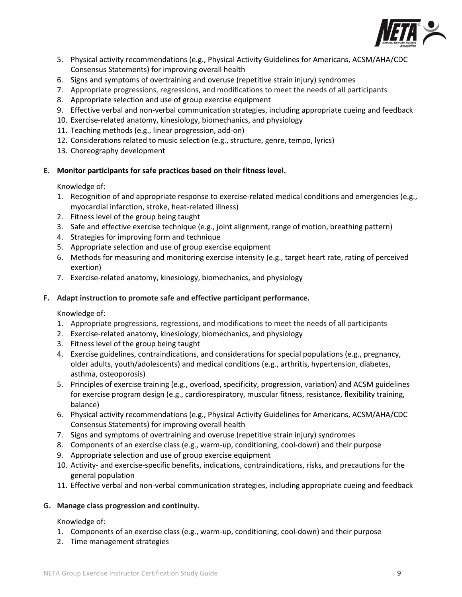

- 5. Physical activity recommendations (e.g., Physical Activity Guidelines for Americans, ACSM/AHA/CDC Consensus Statements) for improving overall health
- 6. Signs and symptoms of overtraining and overuse (repetitive strain injury) syndromes
- 7. Appropriate progressions, regressions, and modifications to meet the needs of all participants
- 8. Appropriate selection and use of group exercise equipment
- 9. Effective verbal and non-verbal communication strategies, including appropriate cueing and feedback
- 10. Exercise-related anatomy, kinesiology, biomechanics, and physiology
- 11. Teaching methods (e.g., linear progression, add-on)
- 12. Considerations related to music selection (e.g., structure, genre, tempo, lyrics)
- 13. Choreography development

## **E. Monitor participants for safe practices based on their fitness level.**

Knowledge of:

- 1. Recognition of and appropriate response to exercise-related medical conditions and emergencies (e.g., myocardial infarction, stroke, heat-related illness)
- 2. Fitness level of the group being taught
- 3. Safe and effective exercise technique (e.g., joint alignment, range of motion, breathing pattern)
- 4. Strategies for improving form and technique
- 5. Appropriate selection and use of group exercise equipment
- 6. Methods for measuring and monitoring exercise intensity (e.g., target heart rate, rating of perceived exertion)
- 7. Exercise-related anatomy, kinesiology, biomechanics, and physiology

## **F. Adapt instruction to promote safe and effective participant performance.**

Knowledge of:

- 1. Appropriate progressions, regressions, and modifications to meet the needs of all participants
- 2. Exercise-related anatomy, kinesiology, biomechanics, and physiology
- 3. Fitness level of the group being taught
- 4. Exercise guidelines, contraindications, and considerations for special populations (e.g., pregnancy, older adults, youth/adolescents) and medical conditions (e.g., arthritis, hypertension, diabetes, asthma, osteoporosis)
- 5. Principles of exercise training (e.g., overload, specificity, progression, variation) and ACSM guidelines for exercise program design (e.g., cardiorespiratory, muscular fitness, resistance, flexibility training, balance)
- 6. Physical activity recommendations (e.g., Physical Activity Guidelines for Americans, ACSM/AHA/CDC Consensus Statements) for improving overall health
- 7. Signs and symptoms of overtraining and overuse (repetitive strain injury) syndromes
- 8. Components of an exercise class (e.g., warm-up, conditioning, cool-down) and their purpose
- 9. Appropriate selection and use of group exercise equipment
- 10. Activity- and exercise-specific benefits, indications, contraindications, risks, and precautions for the general population
- 11. Effective verbal and non-verbal communication strategies, including appropriate cueing and feedback

## **G. Manage class progression and continuity.**

- 1. Components of an exercise class (e.g., warm-up, conditioning, cool-down) and their purpose
- 2. Time management strategies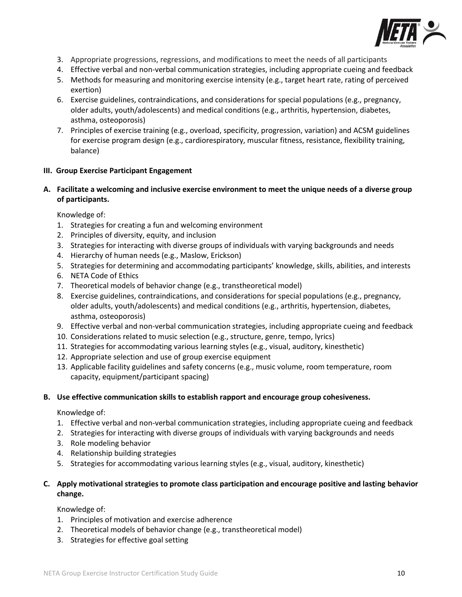

- 3. Appropriate progressions, regressions, and modifications to meet the needs of all participants
- 4. Effective verbal and non-verbal communication strategies, including appropriate cueing and feedback
- 5. Methods for measuring and monitoring exercise intensity (e.g., target heart rate, rating of perceived exertion)
- 6. Exercise guidelines, contraindications, and considerations for special populations (e.g., pregnancy, older adults, youth/adolescents) and medical conditions (e.g., arthritis, hypertension, diabetes, asthma, osteoporosis)
- 7. Principles of exercise training (e.g., overload, specificity, progression, variation) and ACSM guidelines for exercise program design (e.g., cardiorespiratory, muscular fitness, resistance, flexibility training, balance)

### **III. Group Exercise Participant Engagement**

**A. Facilitate a welcoming and inclusive exercise environment to meet the unique needs of a diverse group of participants.**

Knowledge of:

- 1. Strategies for creating a fun and welcoming environment
- 2. Principles of diversity, equity, and inclusion
- 3. Strategies for interacting with diverse groups of individuals with varying backgrounds and needs
- 4. Hierarchy of human needs (e.g., Maslow, Erickson)
- 5. Strategies for determining and accommodating participants' knowledge, skills, abilities, and interests
- 6. NETA Code of Ethics
- 7. Theoretical models of behavior change (e.g., transtheoretical model)
- 8. Exercise guidelines, contraindications, and considerations for special populations (e.g., pregnancy, older adults, youth/adolescents) and medical conditions (e.g., arthritis, hypertension, diabetes, asthma, osteoporosis)
- 9. Effective verbal and non-verbal communication strategies, including appropriate cueing and feedback
- 10. Considerations related to music selection (e.g., structure, genre, tempo, lyrics)
- 11. Strategies for accommodating various learning styles (e.g., visual, auditory, kinesthetic)
- 12. Appropriate selection and use of group exercise equipment
- 13. Applicable facility guidelines and safety concerns (e.g., music volume, room temperature, room capacity, equipment/participant spacing)

### **B. Use effective communication skills to establish rapport and encourage group cohesiveness.**

Knowledge of:

- 1. Effective verbal and non-verbal communication strategies, including appropriate cueing and feedback
- 2. Strategies for interacting with diverse groups of individuals with varying backgrounds and needs
- 3. Role modeling behavior
- 4. Relationship building strategies
- 5. Strategies for accommodating various learning styles (e.g., visual, auditory, kinesthetic)

## **C. Apply motivational strategies to promote class participation and encourage positive and lasting behavior change.**

- 1. Principles of motivation and exercise adherence
- 2. Theoretical models of behavior change (e.g., transtheoretical model)
- 3. Strategies for effective goal setting